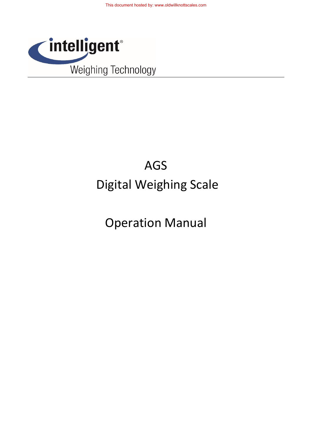

# AGS Digital Weighing Scale

# Operation Manual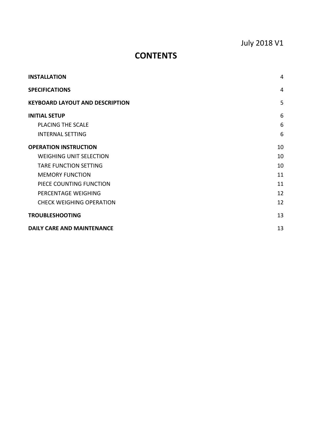# July 2018 V1

# **CONTENTS**

| <b>INSTALLATION</b>                    | 4  |  |
|----------------------------------------|----|--|
| <b>SPECIFICATIONS</b>                  |    |  |
| <b>KEYBOARD LAYOUT AND DESCRIPTION</b> | 5  |  |
| <b>INITIAL SETUP</b>                   | 6  |  |
| <b>PLACING THE SCALE</b>               | 6  |  |
| <b>INTERNAL SETTING</b>                | 6  |  |
| <b>OPERATION INSTRUCTION</b>           | 10 |  |
| <b>WEIGHING UNIT SELECTION</b>         | 10 |  |
| <b>TARE FUNCTION SETTING</b>           | 10 |  |
| <b>MEMORY FUNCTION</b>                 | 11 |  |
| PIECE COUNTING FUNCTION                | 11 |  |
| PERCENTAGE WEIGHING                    | 12 |  |
| <b>CHECK WEIGHING OPERATION</b>        | 12 |  |
| <b>TROUBLESHOOTING</b>                 | 13 |  |
| <b>DAILY CARE AND MAINTENANCE</b>      |    |  |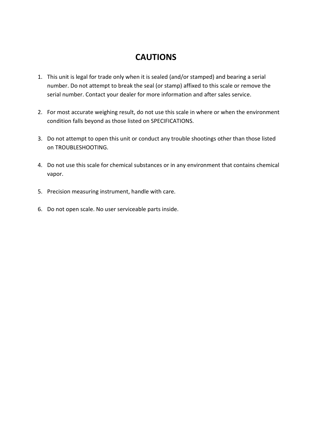# **CAUTIONS**

- 1. This unit is legal for trade only when it is sealed (and/or stamped) and bearing a serial number. Do not attempt to break the seal (or stamp) affixed to this scale or remove the serial number. Contact your dealer for more information and after sales service.
- 2. For most accurate weighing result, do not use this scale in where or when the environment condition falls beyond as those listed on SPECIFICATIONS.
- 3. Do not attempt to open this unit or conduct any trouble shootings other than those listed on TROUBLESHOOTING.
- 4. Do not use this scale for chemical substances or in any environment that contains chemical vapor.
- 5. Precision measuring instrument, handle with care.
- 6. Do not open scale. No user serviceable parts inside.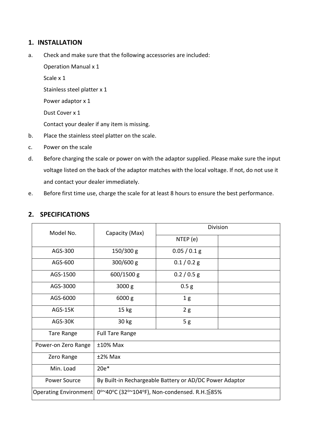#### <span id="page-3-0"></span>**1. INSTALLATION**

a. Check and make sure that the following accessories are included:

Operation Manual x 1

Scale x 1

Stainless steel platter x 1

Power adaptor x 1

Dust Cover x 1

Contact your dealer if any item is missing.

- b. Place the stainless steel platter on the scale.
- c. Power on the scale
- d. Before charging the scale or power on with the adaptor supplied. Please make sure the input voltage listed on the back of the adaptor matches with the local voltage. If not, do not use it and contact your dealer immediately.
- e. Before first time use, charge the scale for at least 8 hours to ensure the best performance.

| Model No.             | Capacity (Max)                                          | Division         |  |
|-----------------------|---------------------------------------------------------|------------------|--|
|                       |                                                         | NTEP (e)         |  |
| AGS-300               | $150/300$ g                                             | 0.05 / 0.1 g     |  |
| AGS-600               | $300/600$ g                                             | $0.1/0.2$ g      |  |
| AGS-1500              | 600/1500 g                                              | 0.2 / 0.5 g      |  |
| AGS-3000              | 3000 g                                                  | 0.5 <sub>g</sub> |  |
| AGS-6000              | 6000 g                                                  | 1 <sub>g</sub>   |  |
| AGS-15K               | 15 <sub>kg</sub>                                        | 2g               |  |
| AGS-30K               | 30 kg                                                   | 5g               |  |
| <b>Tare Range</b>     | <b>Full Tare Range</b>                                  |                  |  |
| Power-on Zero Range   | $±10\%$ Max                                             |                  |  |
| Zero Range            | $±2\%$ Max                                              |                  |  |
| Min. Load             | $20e*$                                                  |                  |  |
| <b>Power Source</b>   | By Built-in Rechargeable Battery or AD/DC Power Adaptor |                  |  |
| Operating Environment | 0°~40°C (32°~104°F), Non-condensed. R.H. ≦85%           |                  |  |

### <span id="page-3-1"></span>**2. SPECIFICATIONS**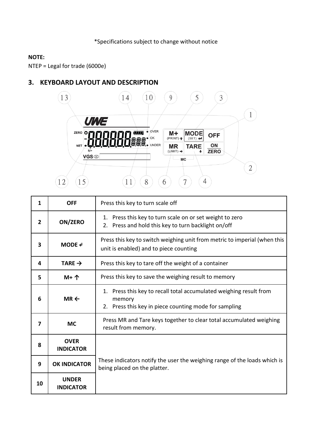#### **NOTE:**

NTEP = Legal for trade (6000e)

## <span id="page-4-0"></span>**3. KEYBOARD LAYOUT AND DESCRIPTION**



| 1              | <b>OFF</b>                       | Press this key to turn scale off                                                                                                         |
|----------------|----------------------------------|------------------------------------------------------------------------------------------------------------------------------------------|
| $\overline{2}$ | ON/ZERO                          | 1. Press this key to turn scale on or set weight to zero<br>2. Press and hold this key to turn backlight on/off                          |
| 3              | MODE e                           | Press this key to switch weighing unit from metric to imperial (when this<br>unit is enabled) and to piece counting                      |
| 4              | TARE $\rightarrow$               | Press this key to tare off the weight of a container                                                                                     |
| 5              | $M+$ $\uparrow$                  | Press this key to save the weighing result to memory                                                                                     |
| 6              | $MR \leftarrow$                  | 1. Press this key to recall total accumulated weighing result from<br>memory<br>Press this key in piece counting mode for sampling<br>2. |
| 7              | <b>MC</b>                        | Press MR and Tare keys together to clear total accumulated weighing<br>result from memory.                                               |
| 8              | <b>OVER</b><br><b>INDICATOR</b>  |                                                                                                                                          |
| 9              | <b>OK INDICATOR</b>              | These indicators notify the user the weighing range of the loads which is<br>being placed on the platter.                                |
| 10             | <b>UNDER</b><br><b>INDICATOR</b> |                                                                                                                                          |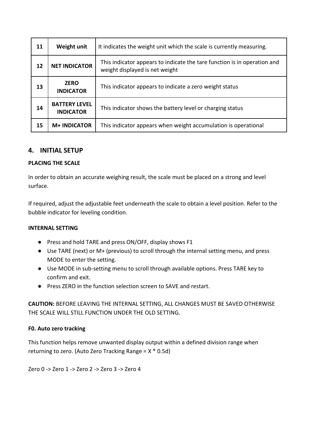| 11 | Weight unit                              | It indicates the weight unit which the scale is currently measuring.                                       |
|----|------------------------------------------|------------------------------------------------------------------------------------------------------------|
| 12 | <b>NET INDICATOR</b>                     | This indicator appears to indicate the tare function is in operation and<br>weight displayed is net weight |
| 13 | <b>ZERO</b><br><b>INDICATOR</b>          | This indicator appears to indicate a zero weight status                                                    |
| 14 | <b>BATTERY LEVEL</b><br><b>INDICATOR</b> | This indicator shows the battery level or charging status                                                  |
| 15 | <b>M+ INDICATOR</b>                      | This indicator appears when weight accumulation is operational                                             |

#### <span id="page-5-0"></span>**4. INITIAL SETUP**

#### <span id="page-5-1"></span>**PLACING THE SCALE**

In order to obtain an accurate weighing result, the scale must be placed on a strong and level surface.

If required, adjust the adjustable feet underneath the scale to obtain a level position. Refer to the bubble indicator for leveling condition.

#### <span id="page-5-2"></span>**INTERNAL SETTING**

- Press and hold TARE and press ON/OFF, display shows F1
- Use TARE (next) or M+ (previous) to scroll through the internal setting menu, and press MODE to enter the setting.
- Use MODE in sub-setting menu to scroll through available options. Press TARE key to confirm and exit.
- Press ZERO in the function selection screen to SAVE and restart.

**CAUTION:** BEFORE LEAVING THE INTERNAL SETTING, ALL CHANGES MUST BE SAVED OTHERWISE THE SCALE WILL STILL FUNCTION UNDER THE OLD SETTING.

#### **F0. Auto zero tracking**

This function helps remove unwanted display output within a defined division range when returning to zero. (Auto Zero Tracking Range = X \* 0.5d)

Zero 0 -> Zero 1 -> Zero 2 -> Zero 3 -> Zero 4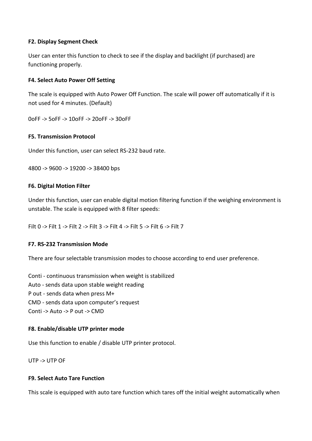#### **F2. Display Segment Check**

User can enter this function to check to see if the display and backlight (if purchased) are functioning properly.

#### **F4. Select Auto Power Off Setting**

The scale is equipped with Auto Power Off Function. The scale will power off automatically if it is not used for 4 minutes. (Default)

0oFF -> 5oFF -> 10oFF -> 20oFF -> 30oFF

#### **F5. Transmission Protocol**

Under this function, user can select RS-232 baud rate.

4800 -> 9600 -> 19200 -> 38400 bps

#### **F6. Digital Motion Filter**

Under this function, user can enable digital motion filtering function if the weighing environment is unstable. The scale is equipped with 8 filter speeds:

Filt 0 -> Filt 1 -> Filt 2 -> Filt 3 -> Filt 4 -> Filt 5 -> Filt 6 -> Filt 7

#### **F7. RS-232 Transmission Mode**

There are four selectable transmission modes to choose according to end user preference.

Conti - continuous transmission when weight is stabilized Auto - sends data upon stable weight reading P out - sends data when press M+ CMD - sends data upon computer's request Conti -> Auto -> P out -> CMD

#### **F8. Enable/disable UTP printer mode**

Use this function to enable / disable UTP printer protocol.

UTP -> UTP OF

#### **F9. Select Auto Tare Function**

This scale is equipped with auto tare function which tares off the initial weight automatically when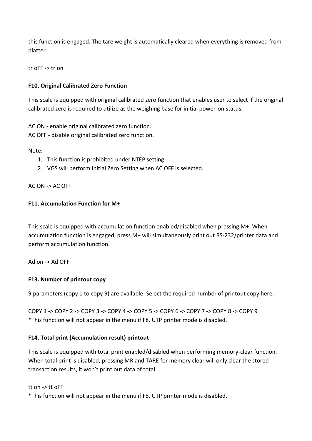this function is engaged. The tare weight is automatically cleared when everything is removed from platter.

tr oFF -> tr on

#### **F10. Original Calibrated Zero Function**

This scale is equipped with original calibrated zero function that enables user to select if the original calibrated zero is required to utilize as the weighing base for initial power-on status.

AC ON - enable original calibrated zero function. AC OFF - disable original calibrated zero function.

Note:

- 1. This function is prohibited under NTEP setting.
- 2. VGS will perform Initial Zero Setting when AC OFF is selected.

#### AC ON -> AC OFF

#### **F11. Accumulation Function for M+**

This scale is equipped with accumulation function enabled/disabled when pressing M+. When accumulation function is engaged, press M+ will simultaneously print out RS-232/printer data and perform accumulation function.

Ad on -> Ad OFF

#### **F13. Number of printout copy**

9 parameters (copy 1 to copy 9) are available. Select the required number of printout copy here.

COPY 1 -> COPY 2 -> COPY 3 -> COPY 4 -> COPY 5 -> COPY 6 -> COPY 7 -> COPY 8 -> COPY 9 \*This function will not appear in the menu if F8. UTP printer mode is disabled.

#### **F14. Total print (Accumulation result) printout**

This scale is equipped with total print enabled/disabled when performing memory-clear function. When total print is disabled, pressing MR and TARE for memory clear will only clear the stored transaction results, it won't print out data of total.

#### tt on -> tt oFF

\*This function will not appear in the menu if F8. UTP printer mode is disabled.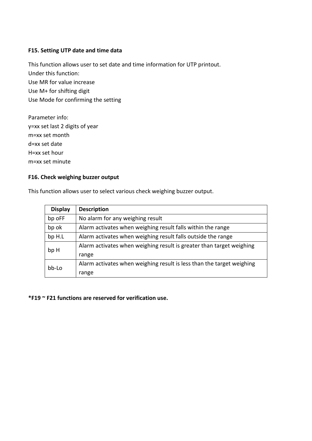#### **F15. Setting UTP date and time data**

This function allows user to set date and time information for UTP printout. Under this function: Use MR for value increase Use M+ for shifting digit Use Mode for confirming the setting

Parameter info: y=xx set last 2 digits of year m=xx set month d=xx set date H=xx set hour m=xx set minute

#### **F16. Check weighing buzzer output**

This function allows user to select various check weighing buzzer output.

| <b>Display</b> | <b>Description</b>                                                    |
|----------------|-----------------------------------------------------------------------|
| bp oFF         | No alarm for any weighing result                                      |
| bp ok          | Alarm activates when weighing result falls within the range           |
| bp H.L         | Alarm activates when weighing result falls outside the range          |
| bp H           | Alarm activates when weighing result is greater than target weighing  |
|                | range                                                                 |
| bb-Lo          | Alarm activates when weighing result is less than the target weighing |
|                | range                                                                 |

**\*F19 ~ F21 functions are reserved for verification use.**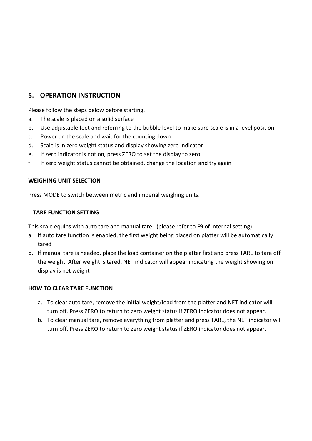## <span id="page-9-0"></span>**5. OPERATION INSTRUCTION**

Please follow the steps below before starting.

- a. The scale is placed on a solid surface
- b. Use adjustable feet and referring to the bubble level to make sure scale is in a level position
- c. Power on the scale and wait for the counting down
- d. Scale is in zero weight status and display showing zero indicator
- e. If zero indicator is not on, press ZERO to set the display to zero
- f. If zero weight status cannot be obtained, change the location and try again

#### <span id="page-9-1"></span>**WEIGHING UNIT SELECTION**

Press MODE to switch between metric and imperial weighing units.

#### <span id="page-9-2"></span>**TARE FUNCTION SETTING**

This scale equips with auto tare and manual tare. (please refer to F9 of internal setting)

- a. If auto tare function is enabled, the first weight being placed on platter will be automatically tared
- b. If manual tare is needed, place the load container on the platter first and press TARE to tare off the weight. After weight is tared, NET indicator will appear indicating the weight showing on display is net weight

#### **HOW TO CLEAR TARE FUNCTION**

- a. To clear auto tare, remove the initial weight/load from the platter and NET indicator will turn off. Press ZERO to return to zero weight status if ZERO indicator does not appear.
- b. To clear manual tare, remove everything from platter and press TARE, the NET indicator will turn off. Press ZERO to return to zero weight status if ZERO indicator does not appear.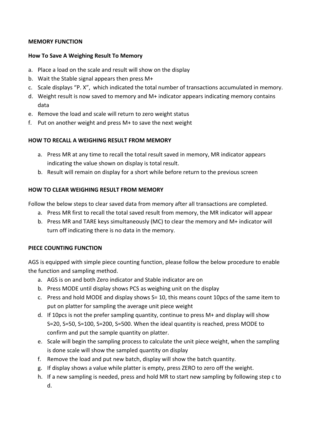#### <span id="page-10-0"></span>**MEMORY FUNCTION**

#### **How To Save A Weighing Result To Memory**

- a. Place a load on the scale and result will show on the display
- b. Wait the Stable signal appears then press M+
- c. Scale displays "P. X", which indicated the total number of transactions accumulated in memory.
- d. Weight result is now saved to memory and M+ indicator appears indicating memory contains data
- e. Remove the load and scale will return to zero weight status
- f. Put on another weight and press M+ to save the next weight

#### **HOW TO RECALL A WEIGHING RESULT FROM MEMORY**

- a. Press MR at any time to recall the total result saved in memory, MR indicator appears indicating the value shown on display is total result.
- b. Result will remain on display for a short while before return to the previous screen

#### **HOW TO CLEAR WEIGHING RESULT FROM MEMORY**

Follow the below steps to clear saved data from memory after all transactions are completed.

- a. Press MR first to recall the total saved result from memory, the MR indicator will appear
- b. Press MR and TARE keys simultaneously (MC) to clear the memory and M+ indicator will turn off indicating there is no data in the memory.

#### <span id="page-10-1"></span>**PIECE COUNTING FUNCTION**

AGS is equipped with simple piece counting function, please follow the below procedure to enable the function and sampling method.

- a. AGS is on and both Zero indicator and Stable indicator are on
- b. Press MODE until display shows PCS as weighing unit on the display
- c. Press and hold MODE and display shows S= 10, this means count 10pcs of the same item to put on platter for sampling the average unit piece weight
- d. If 10pcs is not the prefer sampling quantity, continue to press M+ and display will show S=20, S=50, S=100, S=200, S=500. When the ideal quantity is reached, press MODE to confirm and put the sample quantity on platter.
- e. Scale will begin the sampling process to calculate the unit piece weight, when the sampling is done scale will show the sampled quantity on display
- f. Remove the load and put new batch, display will show the batch quantity.
- g. If display shows a value while platter is empty, press ZERO to zero off the weight.
- h. If a new sampling is needed, press and hold MR to start new sampling by following step c to d.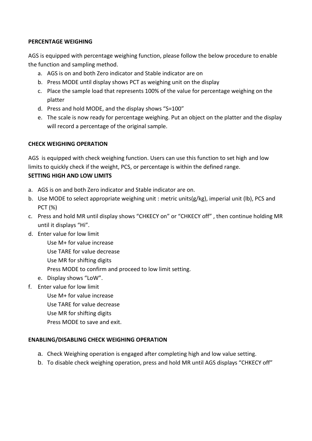#### <span id="page-11-0"></span>**PERCENTAGE WEIGHING**

AGS is equipped with percentage weighing function, please follow the below procedure to enable the function and sampling method.

- a. AGS is on and both Zero indicator and Stable indicator are on
- b. Press MODE until display shows PCT as weighing unit on the display
- c. Place the sample load that represents 100% of the value for percentage weighing on the platter
- d. Press and hold MODE, and the display shows "S=100"
- e. The scale is now ready for percentage weighing. Put an object on the platter and the display will record a percentage of the original sample.

#### <span id="page-11-1"></span>**CHECK WEIGHING OPERATION**

AGS is equipped with check weighing function. Users can use this function to set high and low limits to quickly check if the weight, PCS, or percentage is within the defined range.

#### **SETTING HIGH AND LOW LIMITS**

- a. AGS is on and both Zero indicator and Stable indicator are on.
- b. Use MODE to select appropriate weighing unit : metric units(g/kg), imperial unit (lb), PCS and PCT (%)
- c. Press and hold MR until display shows "CHKECY on" or "CHKECY off" , then continue holding MR until it displays "Hi".
- d. Enter value for low limit
	- Use M+ for value increase
	- Use TARE for value decrease
	- Use MR for shifting digits
	- Press MODE to confirm and proceed to low limit setting.
	- e. Display shows "LoW".
- f. Enter value for low limit
	- Use M+ for value increase
	- Use TARE for value decrease
	- Use MR for shifting digits
	- Press MODE to save and exit.

#### **ENABLING/DISABLING CHECK WEIGHING OPERATION**

- a. Check Weighing operation is engaged after completing high and low value setting.
- b. To disable check weighing operation, press and hold MR until AGS displays "CHKECY off"